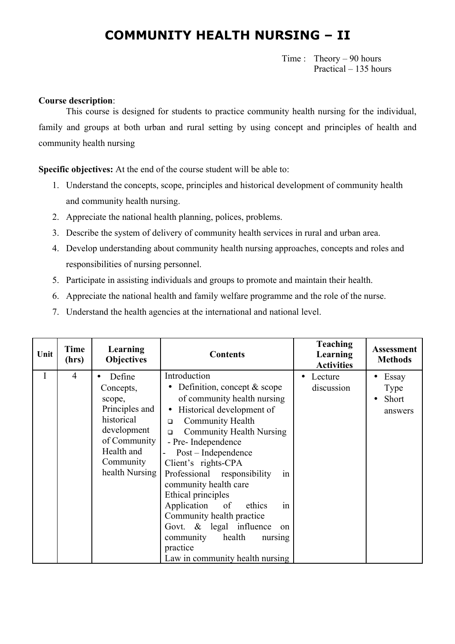## **COMMUNITY HEALTH NURSING – II**

 Time : Theory – 90 hours Practical – 135 hours

#### **Course description**:

This course is designed for students to practice community health nursing for the individual, family and groups at both urban and rural setting by using concept and principles of health and community health nursing

**Specific objectives:** At the end of the course student will be able to:

- 1. Understand the concepts, scope, principles and historical development of community health and community health nursing.
- 2. Appreciate the national health planning, polices, problems.
- 3. Describe the system of delivery of community health services in rural and urban area.
- 4. Develop understanding about community health nursing approaches, concepts and roles and responsibilities of nursing personnel.
- 5. Participate in assisting individuals and groups to promote and maintain their health.
- 6. Appreciate the national health and family welfare programme and the role of the nurse.
- 7. Understand the health agencies at the international and national level.

| Unit | <b>Time</b><br>(hrs) | Learning<br><b>Objectives</b>                                                                                                             | <b>Contents</b>                                                                                                                                                                                                                                                                                                                                                                                                                                                                                                                                           | <b>Teaching</b><br>Learning<br><b>Activities</b> | <b>Assessment</b><br><b>Methods</b>                                |
|------|----------------------|-------------------------------------------------------------------------------------------------------------------------------------------|-----------------------------------------------------------------------------------------------------------------------------------------------------------------------------------------------------------------------------------------------------------------------------------------------------------------------------------------------------------------------------------------------------------------------------------------------------------------------------------------------------------------------------------------------------------|--------------------------------------------------|--------------------------------------------------------------------|
| I    | $\overline{4}$       | Define<br>Concepts,<br>scope,<br>Principles and<br>historical<br>development<br>of Community<br>Health and<br>Community<br>health Nursing | Introduction<br>Definition, concept $&$ scope<br>of community health nursing<br>Historical development of<br>$\bullet$<br>Community Health<br>$\Box$<br><b>Community Health Nursing</b><br>$\Box$<br>- Pre- Independence<br>Post – Independence<br>Client's rights-CPA<br>Professional responsibility<br>1n<br>community health care<br>Ethical principles<br>Application<br>of<br>ethics<br>1n<br>Community health practice<br>Govt. & legal influence<br><sub>on</sub><br>health<br>community<br>nursing<br>practice<br>Law in community health nursing | Lecture<br>discussion                            | Essay<br>$\bullet$<br><b>Type</b><br>Short<br>$\bullet$<br>answers |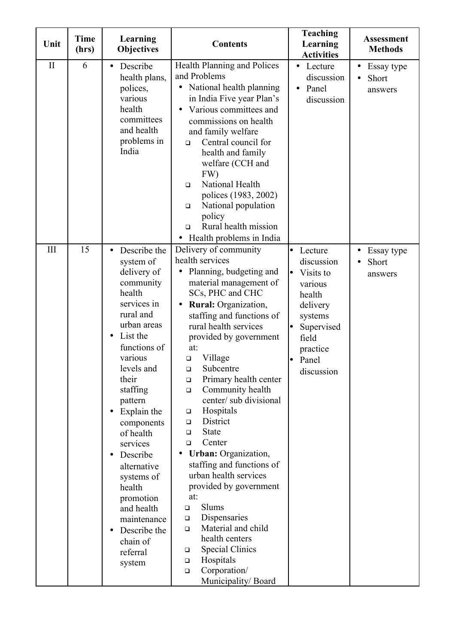| Unit         | <b>Time</b><br>(hrs) | Learning<br><b>Objectives</b>                                                                                                                                                                                                                                                                                                                                                                                                                                         | <b>Contents</b>                                                                                                                                                                                                                                                                                                                                                                                                                                                                                                                                                                                                                                                                                                                                                                                      | <b>Teaching</b><br>Learning<br><b>Activities</b>                                                                                                            | <b>Assessment</b><br><b>Methods</b>         |
|--------------|----------------------|-----------------------------------------------------------------------------------------------------------------------------------------------------------------------------------------------------------------------------------------------------------------------------------------------------------------------------------------------------------------------------------------------------------------------------------------------------------------------|------------------------------------------------------------------------------------------------------------------------------------------------------------------------------------------------------------------------------------------------------------------------------------------------------------------------------------------------------------------------------------------------------------------------------------------------------------------------------------------------------------------------------------------------------------------------------------------------------------------------------------------------------------------------------------------------------------------------------------------------------------------------------------------------------|-------------------------------------------------------------------------------------------------------------------------------------------------------------|---------------------------------------------|
| $\mathbf{I}$ | 6                    | Describe<br>$\bullet$<br>health plans,<br>polices,<br>various<br>health<br>committees<br>and health<br>problems in<br>India                                                                                                                                                                                                                                                                                                                                           | Health Planning and Polices<br>and Problems<br>National health planning<br>in India Five year Plan's<br>Various committees and<br>commissions on health<br>and family welfare<br>Central council for<br>$\Box$<br>health and family<br>welfare (CCH and<br>FW)<br>National Health<br>$\Box$<br>polices (1983, 2002)<br>National population<br>$\Box$<br>policy<br>Rural health mission<br>$\Box$<br>• Health problems in India                                                                                                                                                                                                                                                                                                                                                                       | Lecture<br>$\bullet$<br>discussion<br>Panel<br>$\bullet$<br>discussion                                                                                      | Essay type<br>$\bullet$<br>Short<br>answers |
| III          | 15                   | Describe the<br>$\bullet$<br>system of<br>delivery of<br>community<br>health<br>services in<br>rural and<br>urban areas<br>List the<br>$\bullet$<br>functions of<br>various<br>levels and<br>their<br>staffing<br>pattern<br>Explain the<br>$\bullet$<br>components<br>of health<br>services<br>Describe<br>$\bullet$<br>alternative<br>systems of<br>health<br>promotion<br>and health<br>maintenance<br>Describe the<br>$\bullet$<br>chain of<br>referral<br>system | Delivery of community<br>health services<br>Planning, budgeting and<br>material management of<br>SCs, PHC and CHC<br><b>Rural:</b> Organization,<br>staffing and functions of<br>rural health services<br>provided by government<br>at:<br>Village<br>$\Box$<br>Subcentre<br>$\Box$<br>Primary health center<br>□<br>Community health<br>$\Box$<br>center/ sub divisional<br>Hospitals<br>$\Box$<br>District<br>$\Box$<br><b>State</b><br>$\Box$<br>Center<br>$\Box$<br><b>Urban:</b> Organization,<br>staffing and functions of<br>urban health services<br>provided by government<br>at:<br>Slums<br>$\Box$<br>Dispensaries<br>$\Box$<br>Material and child<br>$\Box$<br>health centers<br><b>Special Clinics</b><br>$\Box$<br>Hospitals<br>$\Box$<br>Corporation/<br>$\Box$<br>Municipality/Board | Lecture<br>le<br>discussion<br>Visits to<br>lo.<br>various<br>health<br>delivery<br>systems<br>Supervised<br>lo<br>field<br>practice<br>Panel<br>discussion | Essay type<br>$\bullet$<br>Short<br>answers |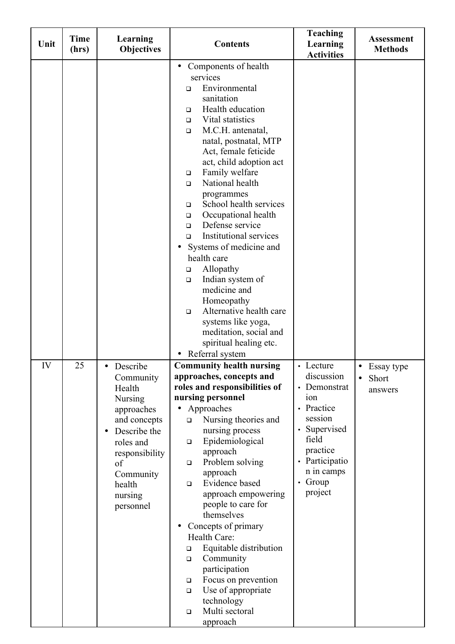| Unit | Time<br>(hrs) | Learning<br><b>Objectives</b>                                                                                                                                                       | <b>Contents</b>                                                                                                                                                                                                                                                                                                                                                                                                                                                                                                                                                                                                                                                                                                                        | <b>Teaching</b><br>Learning<br><b>Activities</b>                                                                                                                 | <b>Assessment</b><br><b>Methods</b>                             |
|------|---------------|-------------------------------------------------------------------------------------------------------------------------------------------------------------------------------------|----------------------------------------------------------------------------------------------------------------------------------------------------------------------------------------------------------------------------------------------------------------------------------------------------------------------------------------------------------------------------------------------------------------------------------------------------------------------------------------------------------------------------------------------------------------------------------------------------------------------------------------------------------------------------------------------------------------------------------------|------------------------------------------------------------------------------------------------------------------------------------------------------------------|-----------------------------------------------------------------|
|      |               |                                                                                                                                                                                     | Components of health<br>$\bullet$<br>services<br>Environmental<br>$\Box$<br>sanitation<br>Health education<br>□<br>Vital statistics<br>$\Box$<br>M.C.H. antenatal,<br>$\Box$<br>natal, postnatal, MTP<br>Act, female feticide<br>act, child adoption act<br>Family welfare<br>$\Box$<br>National health<br>$\Box$<br>programmes<br>School health services<br>$\Box$<br>Occupational health<br>□<br>Defense service<br>$\Box$<br><b>Institutional services</b><br>$\Box$<br>Systems of medicine and<br>health care<br>Allopathy<br>$\Box$<br>Indian system of<br>$\Box$<br>medicine and<br>Homeopathy<br>Alternative health care<br>$\Box$<br>systems like yoga,<br>meditation, social and<br>spiritual healing etc.<br>Referral system |                                                                                                                                                                  |                                                                 |
| IV   | 25            | Describe<br>Community<br>Health<br><b>Nursing</b><br>approaches<br>and concepts<br>Describe the<br>roles and<br>responsibility<br>of<br>Community<br>health<br>nursing<br>personnel | <b>Community health nursing</b><br>approaches, concepts and<br>roles and responsibilities of<br>nursing personnel<br>Approaches<br>Nursing theories and<br>□<br>nursing process<br>Epidemiological<br>$\Box$<br>approach<br>Problem solving<br>$\Box$<br>approach<br>Evidence based<br>$\Box$<br>approach empowering<br>people to care for<br>themselves<br>Concepts of primary<br>Health Care:<br>Equitable distribution<br>$\Box$<br>Community<br>$\Box$<br>participation<br>Focus on prevention<br>$\Box$<br>Use of appropriate<br>$\Box$<br>technology<br>Multi sectoral<br>$\Box$<br>approach                                                                                                                                     | • Lecture<br>discussion<br>• Demonstrat<br>10n<br>• Practice<br>session<br>• Supervised<br>field<br>practice<br>• Participatio<br>n in camps<br>Group<br>project | Essay type<br>$\bullet$<br><b>Short</b><br>$\bullet$<br>answers |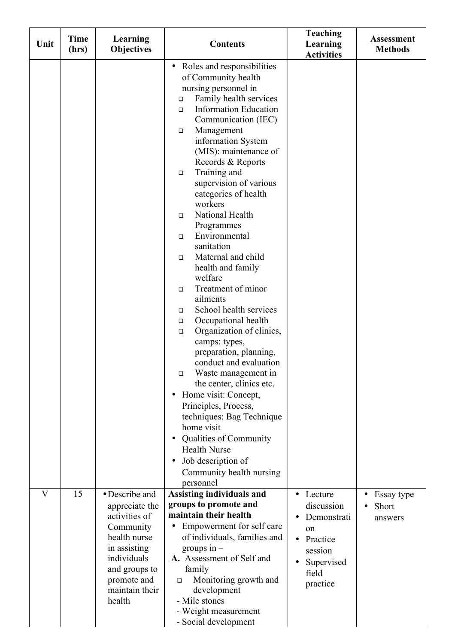| Unit         | <b>Time</b><br>(hrs) | Learning<br>Objectives                                                                                                                                                    | <b>Contents</b>                                                                                                                                                                                                                                                                                                                                                                                                                                                                                                                                                                                                                                                                                                                                                                                                                                                                                                                                                                                         | <b>Teaching</b><br>Learning<br><b>Activities</b>                                                                  | <b>Assessment</b><br><b>Methods</b> |
|--------------|----------------------|---------------------------------------------------------------------------------------------------------------------------------------------------------------------------|---------------------------------------------------------------------------------------------------------------------------------------------------------------------------------------------------------------------------------------------------------------------------------------------------------------------------------------------------------------------------------------------------------------------------------------------------------------------------------------------------------------------------------------------------------------------------------------------------------------------------------------------------------------------------------------------------------------------------------------------------------------------------------------------------------------------------------------------------------------------------------------------------------------------------------------------------------------------------------------------------------|-------------------------------------------------------------------------------------------------------------------|-------------------------------------|
|              |                      |                                                                                                                                                                           | • Roles and responsibilities<br>of Community health<br>nursing personnel in<br>Family health services<br>$\Box$<br><b>Information Education</b><br>$\Box$<br>Communication (IEC)<br>Management<br>$\Box$<br>information System<br>(MIS): maintenance of<br>Records & Reports<br>Training and<br>$\Box$<br>supervision of various<br>categories of health<br>workers<br>National Health<br>O<br>Programmes<br>Environmental<br>O<br>sanitation<br>Maternal and child<br>$\Box$<br>health and family<br>welfare<br>Treatment of minor<br>O<br>ailments<br>School health services<br>❏<br>Occupational health<br>$\Box$<br>Organization of clinics,<br>$\Box$<br>camps: types,<br>preparation, planning,<br>conduct and evaluation<br>Waste management in<br>$\Box$<br>the center, clinics etc.<br>Home visit: Concept,<br>Principles, Process,<br>techniques: Bag Technique<br>home visit<br>Qualities of Community<br><b>Health Nurse</b><br>Job description of<br>Community health nursing<br>personnel |                                                                                                                   |                                     |
| $\mathbf{V}$ | 15                   | • Describe and<br>appreciate the<br>activities of<br>Community<br>health nurse<br>in assisting<br>individuals<br>and groups to<br>promote and<br>maintain their<br>health | <b>Assisting individuals and</b><br>groups to promote and<br>maintain their health<br>Empowerment for self care<br>of individuals, families and<br>groups in $-$<br>A. Assessment of Self and<br>family<br>Monitoring growth and<br>□<br>development<br>- Mile stones<br>- Weight measurement<br>- Social development                                                                                                                                                                                                                                                                                                                                                                                                                                                                                                                                                                                                                                                                                   | Lecture<br>discussion<br>Demonstrati<br>on<br>Practice<br>$\bullet$<br>session<br>Supervised<br>field<br>practice | Essay type<br>Short<br>answers      |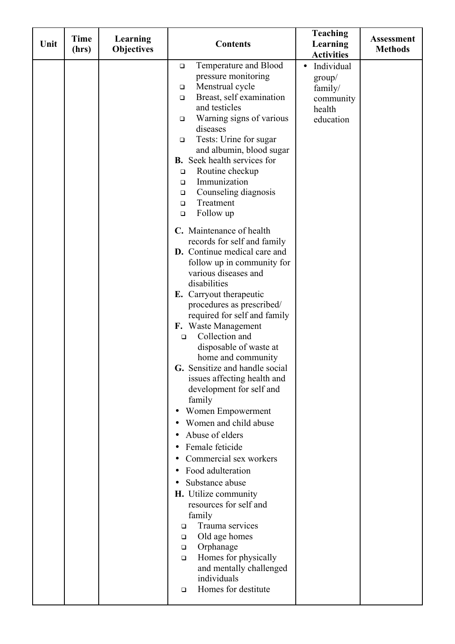| Unit | <b>Time</b><br>(hrs) | Learning<br><b>Objectives</b> | <b>Contents</b>                                                                                                                                                                                                                                                                                                                                                                                                                                                                                                                                                                                                                                                                                                                                                                                                                                                                                                                                                                                                                                                                                                                                                                                                                                                                                                                                        | <b>Teaching</b><br>Learning<br><b>Activities</b>                                 | <b>Assessment</b><br><b>Methods</b> |
|------|----------------------|-------------------------------|--------------------------------------------------------------------------------------------------------------------------------------------------------------------------------------------------------------------------------------------------------------------------------------------------------------------------------------------------------------------------------------------------------------------------------------------------------------------------------------------------------------------------------------------------------------------------------------------------------------------------------------------------------------------------------------------------------------------------------------------------------------------------------------------------------------------------------------------------------------------------------------------------------------------------------------------------------------------------------------------------------------------------------------------------------------------------------------------------------------------------------------------------------------------------------------------------------------------------------------------------------------------------------------------------------------------------------------------------------|----------------------------------------------------------------------------------|-------------------------------------|
|      |                      |                               | Temperature and Blood<br>$\Box$<br>pressure monitoring<br>Menstrual cycle<br>$\Box$<br>Breast, self examination<br>$\Box$<br>and testicles<br>Warning signs of various<br>$\Box$<br>diseases<br>Tests: Urine for sugar<br>$\Box$<br>and albumin, blood sugar<br><b>B.</b> Seek health services for<br>Routine checkup<br>$\Box$<br>Immunization<br>$\Box$<br>Counseling diagnosis<br>$\Box$<br>Treatment<br>$\Box$<br>Follow up<br>$\Box$<br>C. Maintenance of health<br>records for self and family<br><b>D.</b> Continue medical care and<br>follow up in community for<br>various diseases and<br>disabilities<br>E. Carryout therapeutic<br>procedures as prescribed/<br>required for self and family<br>F. Waste Management<br>Collection and<br>$\Box$<br>disposable of waste at<br>home and community<br>G. Sensitize and handle social<br>issues affecting health and<br>development for self and<br>family<br>Women Empowerment<br>Women and child abuse<br>Abuse of elders<br>$\bullet$<br>Female feticide<br>Commercial sex workers<br>Food adulteration<br>$\bullet$<br>Substance abuse<br>H. Utilize community<br>resources for self and<br>family<br>Trauma services<br>□<br>Old age homes<br>$\Box$<br>Orphanage<br>$\Box$<br>Homes for physically<br>$\Box$<br>and mentally challenged<br>individuals<br>Homes for destitute<br>$\Box$ | Individual<br>$\bullet$<br>group/<br>family/<br>community<br>health<br>education |                                     |
|      |                      |                               |                                                                                                                                                                                                                                                                                                                                                                                                                                                                                                                                                                                                                                                                                                                                                                                                                                                                                                                                                                                                                                                                                                                                                                                                                                                                                                                                                        |                                                                                  |                                     |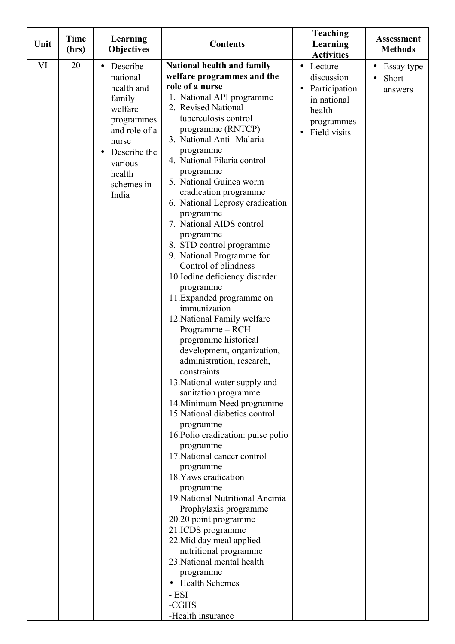| Unit | <b>Time</b><br>(hrs) | Learning<br><b>Objectives</b>                                                                                                                                            | <b>Contents</b>                                                                                                                                                                                                                                                                                                                                                                                                                                                                                                                                                                                                                                                                                                                                                                                                                                                                                                                                                                                                                                                                                                                                                                                                                                                                                    | <b>Teaching</b><br>Learning<br><b>Activities</b>                                                           | <b>Assessment</b><br><b>Methods</b>         |
|------|----------------------|--------------------------------------------------------------------------------------------------------------------------------------------------------------------------|----------------------------------------------------------------------------------------------------------------------------------------------------------------------------------------------------------------------------------------------------------------------------------------------------------------------------------------------------------------------------------------------------------------------------------------------------------------------------------------------------------------------------------------------------------------------------------------------------------------------------------------------------------------------------------------------------------------------------------------------------------------------------------------------------------------------------------------------------------------------------------------------------------------------------------------------------------------------------------------------------------------------------------------------------------------------------------------------------------------------------------------------------------------------------------------------------------------------------------------------------------------------------------------------------|------------------------------------------------------------------------------------------------------------|---------------------------------------------|
| VI   | 20                   | Describe<br>$\bullet$<br>national<br>health and<br>family<br>welfare<br>programmes<br>and role of a<br>nurse<br>Describe the<br>various<br>health<br>schemes in<br>India | National health and family<br>welfare programmes and the<br>role of a nurse<br>1. National API programme<br>2. Revised National<br>tuberculosis control<br>programme (RNTCP)<br>3. National Anti-Malaria<br>programme<br>4. National Filaria control<br>programme<br>5. National Guinea worm<br>eradication programme<br>6. National Leprosy eradication<br>programme<br>7. National AIDS control<br>programme<br>8. STD control programme<br>9. National Programme for<br>Control of blindness<br>10.Iodine deficiency disorder<br>programme<br>11. Expanded programme on<br>immunization<br>12. National Family welfare<br>Programme - RCH<br>programme historical<br>development, organization,<br>administration, research,<br>constraints<br>13. National water supply and<br>sanitation programme<br>14. Minimum Need programme<br>15. National diabetics control<br>programme<br>16. Polio eradication: pulse polio<br>programme<br>17. National cancer control<br>programme<br>18. Yaws eradication<br>programme<br>19. National Nutritional Anemia<br>Prophylaxis programme<br>20.20 point programme<br>21.ICDS programme<br>22. Mid day meal applied<br>nutritional programme<br>23. National mental health<br>programme<br><b>Health Schemes</b><br>- ESI<br>-CGHS<br>-Health insurance | Lecture<br>$\bullet$<br>discussion<br>Participation<br>in national<br>health<br>programmes<br>Field visits | Essay type<br>$\bullet$<br>Short<br>answers |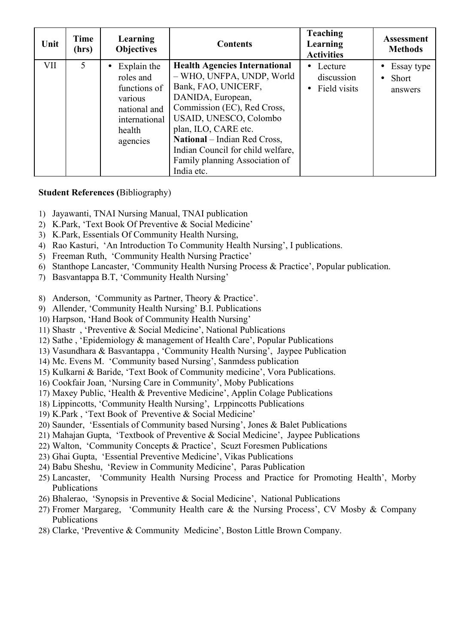| Unit | Time<br>(hrs) | Learning<br><b>Objectives</b>                                                                              | <b>Contents</b>                                                                                                                                                                                                                                                                                                     | <b>Teaching</b><br>Learning<br><b>Activities</b> | <b>Assessment</b><br><b>Methods</b>                |
|------|---------------|------------------------------------------------------------------------------------------------------------|---------------------------------------------------------------------------------------------------------------------------------------------------------------------------------------------------------------------------------------------------------------------------------------------------------------------|--------------------------------------------------|----------------------------------------------------|
| VII  | 5             | Explain the<br>roles and<br>functions of<br>various<br>national and<br>international<br>health<br>agencies | <b>Health Agencies International</b><br>- WHO, UNFPA, UNDP, World<br>Bank, FAO, UNICERF,<br>DANIDA, European,<br>Commission (EC), Red Cross,<br>USAID, UNESCO, Colombo<br>plan, ILO, CARE etc.<br>National – Indian Red Cross,<br>Indian Council for child welfare,<br>Family planning Association of<br>India etc. | • Lecture<br>discussion<br>Field visits          | Essay type<br><b>Short</b><br>$\bullet$<br>answers |

#### **Student References (**Bibliography)

- 1) Jayawanti, TNAI Nursing Manual, TNAI publication
- 2) K.Park, 'Text Book Of Preventive & Social Medicine'
- 3) K.Park, Essentials Of Community Health Nursing,
- 4) Rao Kasturi, 'An Introduction To Community Health Nursing', I publications.
- 5) Freeman Ruth, 'Community Health Nursing Practice'
- 6) Stanthope Lancaster, 'Community Health Nursing Process & Practice', Popular publication.
- 7) Basvantappa B.T, 'Community Health Nursing'
- 8) Anderson, 'Community as Partner, Theory & Practice'.
- 9) Allender, 'Community Health Nursing' B.I. Publications
- 10) Harpson, 'Hand Book of Community Health Nursing'
- 11) Shastr , 'Preventive & Social Medicine', National Publications
- 12) Sathe , 'Epidemiology & management of Health Care', Popular Publications
- 13) Vasundhara & Basvantappa , 'Community Health Nursing', Jaypee Publication
- 14) Mc. Evens M. 'Community based Nursing', Sanmdess publication
- 15) Kulkarni & Baride, 'Text Book of Community medicine', Vora Publications.
- 16) Cookfair Joan, 'Nursing Care in Community', Moby Publications
- 17) Maxey Public, 'Health & Preventive Medicine', Applin Colage Publications
- 18) Lippincotts, 'Community Health Nursing', Lrppincotts Publications
- 19) K.Park , 'Text Book of Preventive & Social Medicine'
- 20) Saunder, 'Essentials of Community based Nursing', Jones & Balet Publications
- 21) Mahajan Gupta, 'Textbook of Preventive & Social Medicine', Jaypee Publications
- 22) Walton, 'Community Concepts & Practice', Scuzt Foresmen Publications
- 23) Ghai Gupta, 'Essential Preventive Medicine', Vikas Publications
- 24) Babu Sheshu, 'Review in Community Medicine', Paras Publication
- 25) Lancaster, 'Community Health Nursing Process and Practice for Promoting Health', Morby Publications
- 26) Bhalerao, 'Synopsis in Preventive & Social Medicine', National Publications
- 27) Fromer Margareg, 'Community Health care & the Nursing Process', CV Mosby & Company Publications
- 28) Clarke, 'Preventive & Community Medicine', Boston Little Brown Company.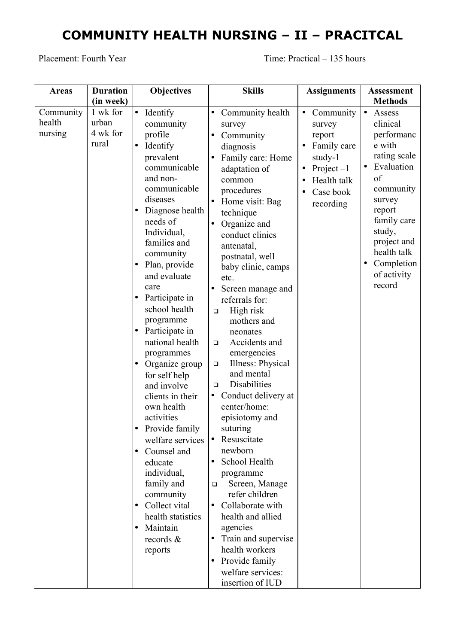# **COMMUNITY HEALTH NURSING – II – PRACITCAL**

Placement: Fourth Year Time: Practical – 135 hours

| <b>Areas</b> | <b>Duration</b> | <b>Objectives</b>                            | <b>Skills</b>                    | <b>Assignments</b>        | <b>Assessment</b>          |
|--------------|-----------------|----------------------------------------------|----------------------------------|---------------------------|----------------------------|
|              | (in week)       |                                              |                                  |                           | <b>Methods</b>             |
| Community    | 1 wk for        | Identify<br>$\bullet$                        | Community health<br>$\bullet$    | Community<br>$\bullet$    | $\bullet$<br>Assess        |
| health       | urban           | community                                    | survey                           | survey                    | clinical                   |
| nursing      | 4 wk for        | profile                                      | Community<br>$\bullet$           | report                    | performanc                 |
|              | rural           | Identify<br>$\bullet$                        | diagnosis                        | Family care               | e with                     |
|              |                 | prevalent                                    | Family care: Home                | study-1                   | rating scale               |
|              |                 | communicable                                 | adaptation of                    | Project $-1$<br>$\bullet$ | Evaluation<br>$\bullet$    |
|              |                 | and non-                                     | common                           | Health talk               | of                         |
|              |                 | communicable                                 | procedures                       | Case book                 | community                  |
|              |                 | diseases                                     | Home visit: Bag<br>$\bullet$     | recording                 | survey                     |
|              |                 | Diagnose health<br>$\bullet$                 | technique                        |                           | report                     |
|              |                 | needs of                                     | Organize and<br>$\bullet$        |                           | family care                |
|              |                 | Individual,                                  | conduct clinics                  |                           | study,                     |
|              |                 | families and                                 | antenatal,                       |                           | project and<br>health talk |
|              |                 | community                                    | postnatal, well                  |                           | Completion<br>$\bullet$    |
|              |                 | Plan, provide<br>$\bullet$                   | baby clinic, camps               |                           | of activity                |
|              |                 | and evaluate                                 | etc.                             |                           | record                     |
|              |                 | care                                         | Screen manage and                |                           |                            |
|              |                 | Participate in<br>$\bullet$<br>school health | referrals for:                   |                           |                            |
|              |                 |                                              | High risk<br>$\Box$              |                           |                            |
|              |                 | programme                                    | mothers and                      |                           |                            |
|              |                 | Participate in<br>lo<br>national health      | neonates<br>Accidents and        |                           |                            |
|              |                 |                                              | $\Box$<br>emergencies            |                           |                            |
|              |                 | programmes<br>Organize group<br>$\bullet$    | Illness: Physical<br>$\Box$      |                           |                            |
|              |                 | for self help                                | and mental                       |                           |                            |
|              |                 | and involve                                  | Disabilities<br>$\Box$           |                           |                            |
|              |                 | clients in their                             | Conduct delivery at<br>$\bullet$ |                           |                            |
|              |                 | own health                                   | center/home:                     |                           |                            |
|              |                 | activities                                   | episiotomy and                   |                           |                            |
|              |                 | Provide family<br>$\bullet$                  | suturing                         |                           |                            |
|              |                 | welfare services                             | Resuscitate<br>lo                |                           |                            |
|              |                 | Counsel and<br>٠                             | newborn                          |                           |                            |
|              |                 | educate                                      | School Health<br>$\bullet$       |                           |                            |
|              |                 | individual,                                  | programme                        |                           |                            |
|              |                 | family and                                   | Screen, Manage<br>❏              |                           |                            |
|              |                 | community                                    | refer children                   |                           |                            |
|              |                 | Collect vital<br>$\bullet$                   | Collaborate with<br>$\bullet$    |                           |                            |
|              |                 | health statistics                            | health and allied                |                           |                            |
|              |                 | Maintain<br>$\bullet$                        | agencies                         |                           |                            |
|              |                 | records $\&$                                 | Train and supervise<br>$\bullet$ |                           |                            |
|              |                 | reports                                      | health workers                   |                           |                            |
|              |                 |                                              | Provide family                   |                           |                            |
|              |                 |                                              | welfare services:                |                           |                            |
|              |                 |                                              | insertion of IUD                 |                           |                            |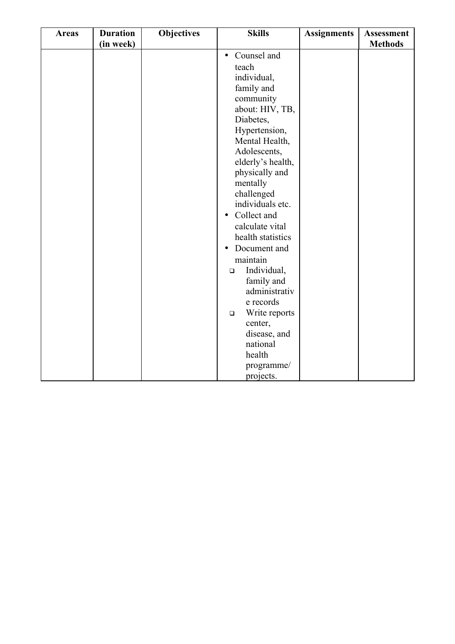| Counsel and<br>$\bullet$<br>teach<br>individual,<br>family and<br>community<br>about: HIV, TB,<br>Diabetes,<br>Hypertension,<br>Mental Health,<br>Adolescents,<br>elderly's health,<br>physically and<br>mentally<br>challenged<br>individuals etc.<br>Collect and<br>$\bullet$<br>calculate vital<br>health statistics<br>Document and<br>$\bullet$<br>maintain<br>Individual,<br>$\Box$<br>family and<br>administrativ<br>e records<br>Write reports<br>$\Box$<br>center,<br>disease, and<br>national<br>health | <b>Areas</b> | <b>Duration</b> | <b>Objectives</b> | <b>Skills</b> | <b>Assignments</b> | <b>Assessment</b> |
|-------------------------------------------------------------------------------------------------------------------------------------------------------------------------------------------------------------------------------------------------------------------------------------------------------------------------------------------------------------------------------------------------------------------------------------------------------------------------------------------------------------------|--------------|-----------------|-------------------|---------------|--------------------|-------------------|
|                                                                                                                                                                                                                                                                                                                                                                                                                                                                                                                   |              |                 |                   |               |                    |                   |
|                                                                                                                                                                                                                                                                                                                                                                                                                                                                                                                   |              | (in week)       |                   |               |                    | <b>Methods</b>    |
| projects.                                                                                                                                                                                                                                                                                                                                                                                                                                                                                                         |              |                 |                   | programme/    |                    |                   |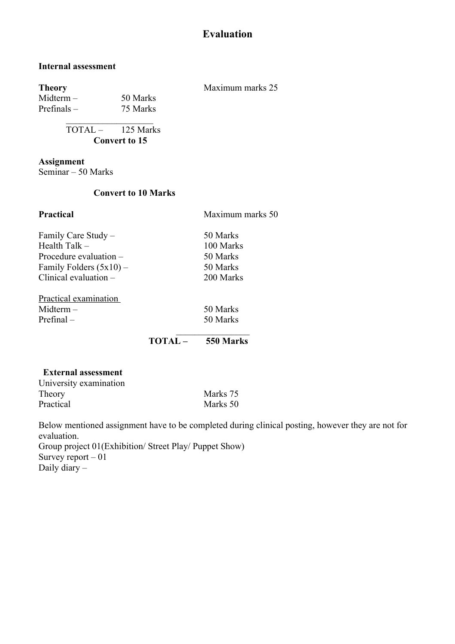## **Evaluation**

#### **Internal assessment**

| <b>Theory</b>        |                                    | Maximum marks 25 |
|----------------------|------------------------------------|------------------|
| $Midterm -$          | 50 Marks                           |                  |
| Prefinals $-$        | 75 Marks                           |                  |
|                      | $\text{TOTAL} - 125 \text{ Marks}$ |                  |
| <b>Convert to 15</b> |                                    |                  |

**Assignment** 

Seminar – 50 Marks

#### **Convert to 10 Marks**

| <b>Practical</b>          | Maximum marks 50 |  |  |
|---------------------------|------------------|--|--|
| Family Care Study -       | 50 Marks         |  |  |
| Health Talk $-$           | 100 Marks        |  |  |
| Procedure evaluation $-$  | 50 Marks         |  |  |
| Family Folders $(5x10)$ – | 50 Marks         |  |  |
| Clinical evaluation $-$   | 200 Marks        |  |  |
| Practical examination     |                  |  |  |
| $Midterm -$               | 50 Marks         |  |  |
| $Prefinal -$              | 50 Marks         |  |  |
|                           |                  |  |  |

**TOTAL – 550 Marks**

#### **External assessment**

| University examination |          |
|------------------------|----------|
| Theory                 | Marks 75 |
| Practical              | Marks 50 |

Below mentioned assignment have to be completed during clinical posting, however they are not for evaluation.

Group project 01(Exhibition/ Street Play/ Puppet Show) Survey report  $-0$ 1 Daily diary –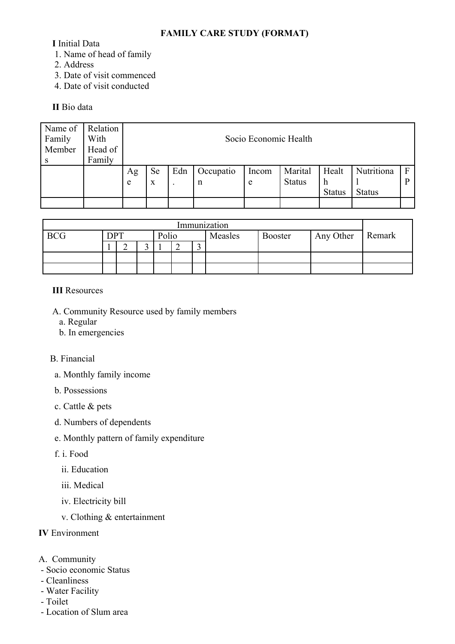#### **FAMILY CARE STUDY (FORMAT)**

**I** Initial Data

- 1. Name of head of family
- 2. Address
- 3. Date of visit commenced
- 4. Date of visit conducted

#### **II** Bio data

| Name of | Relation |    | Socio Economic Health |     |           |       |               |               |               |   |  |  |
|---------|----------|----|-----------------------|-----|-----------|-------|---------------|---------------|---------------|---|--|--|
| Family  | With     |    |                       |     |           |       |               |               |               |   |  |  |
| Member  | Head of  |    |                       |     |           |       |               |               |               |   |  |  |
|         | Family   |    |                       |     |           |       |               |               |               |   |  |  |
|         |          | Ag | <b>Se</b>             | Edn | Occupatio | Incom | Marital       | Healt         | Nutritiona    |   |  |  |
|         |          | e  | X                     |     | n         | e     | <b>Status</b> | h             |               | D |  |  |
|         |          |    |                       |     |           |       |               | <b>Status</b> | <b>Status</b> |   |  |  |
|         |          |    |                       |     |           |       |               |               |               |   |  |  |

| Immunization |     |   |       |  |  |         |                |           |        |  |
|--------------|-----|---|-------|--|--|---------|----------------|-----------|--------|--|
| <b>BCG</b>   | DPT |   | Polio |  |  | Measles | <b>Booster</b> | Any Other | Remark |  |
|              |     | ∸ |       |  |  |         |                |           |        |  |
|              |     |   |       |  |  |         |                |           |        |  |
|              |     |   |       |  |  |         |                |           |        |  |

#### **III** Resources

- A. Community Resource used by family members
	- a. Regular
	- b. In emergencies

#### B. Financial

- a. Monthly family income
- b. Possessions
- c. Cattle & pets
- d. Numbers of dependents
- e. Monthly pattern of family expenditure
- f. i. Food
	- ii. Education
	- iii. Medical
	- iv. Electricity bill
	- v. Clothing & entertainment

## **IV** Environment

- A. Community
- Socio economic Status
- Cleanliness
- Water Facility
- Toilet
- Location of Slum area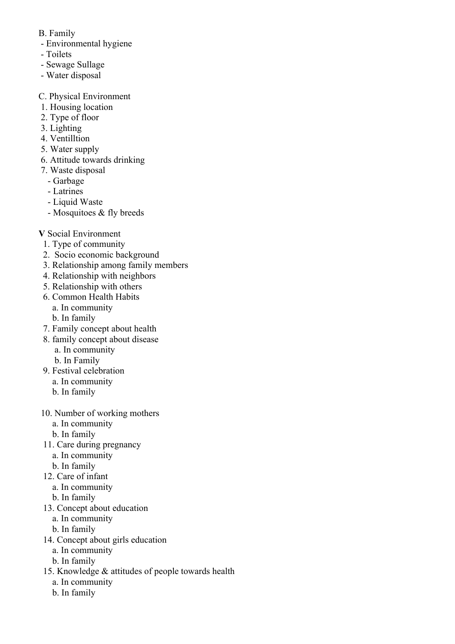- B. Family
- Environmental hygiene
- Toilets
- Sewage Sullage
- Water disposal
- C. Physical Environment
- 1. Housing location
- 2. Type of floor
- 3. Lighting
- 4. Ventilltion
- 5. Water supply
- 6. Attitude towards drinking
- 7. Waste disposal
	- Garbage
	- Latrines
	- Liquid Waste
	- Mosquitoes & fly breeds
- **V** Social Environment
	- 1. Type of community
	- 2. Socio economic background
	- 3. Relationship among family members
	- 4. Relationship with neighbors
	- 5. Relationship with others
	- 6. Common Health Habits
		- a. In community
		- b. In family
	- 7. Family concept about health
	- 8. family concept about disease
		- a. In community
		- b. In Family
	- 9. Festival celebration
		- a. In community
		- b. In family
- 10. Number of working mothers
	- a. In community
	- b. In family
- 11. Care during pregnancy
	- a. In community
	- b. In family
- 12. Care of infant
	- a. In community
	- b. In family
- 13. Concept about education
	- a. In community
	- b. In family
- 14. Concept about girls education
	- a. In community
	- b. In family
- 15. Knowledge & attitudes of people towards health
	- a. In community
	- b. In family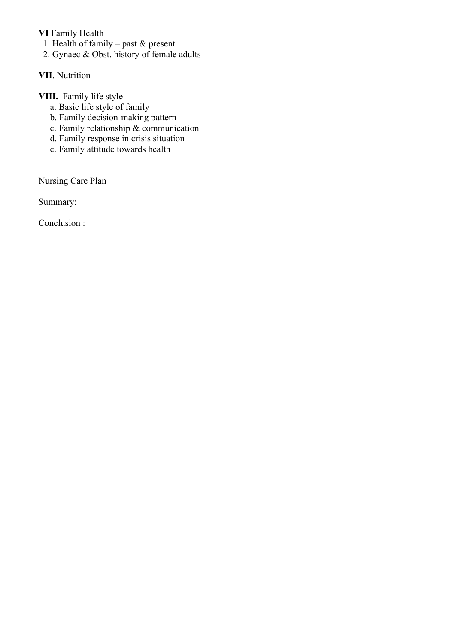#### **VI** Family Health

- 1. Health of family past  $\&$  present
- 2. Gynaec & Obst. history of female adults

#### **VII**. Nutrition

## **VIII.** Family life style

- a. Basic life style of family
- b. Family decision-making pattern
- c. Family relationship & communication
- d. Family response in crisis situation
- e. Family attitude towards health

Nursing Care Plan

Summary:

Conclusion :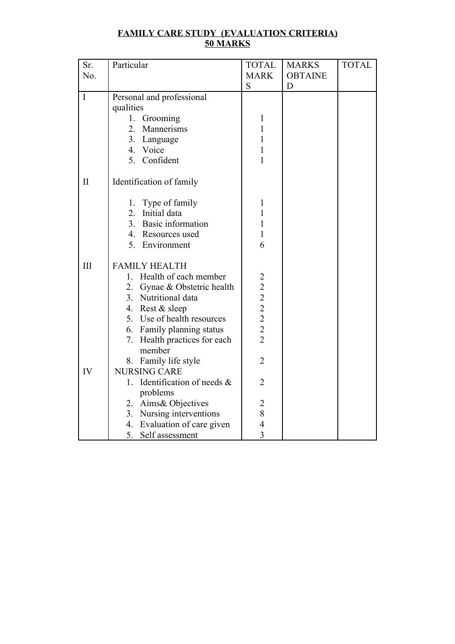| <b>FAMILY CARE STUDY (EVALUATION CRITERIA)</b> |
|------------------------------------------------|
| 50 MARKS                                       |

| Sr.          | Particular                              | <b>TOTAL</b>                                      | <b>MARKS</b>   | <b>TOTAL</b> |
|--------------|-----------------------------------------|---------------------------------------------------|----------------|--------------|
| No.          |                                         | <b>MARK</b>                                       | <b>OBTAINE</b> |              |
|              |                                         | S                                                 | D              |              |
| $\mathbf I$  | Personal and professional               |                                                   |                |              |
|              | qualities                               |                                                   |                |              |
|              | 1. Grooming                             | 1                                                 |                |              |
|              | $\overline{2}$ .<br>Mannerisms          | $\mathbf{1}$                                      |                |              |
|              | 3. Language                             | $\mathbf{1}$                                      |                |              |
|              | 4. Voice                                | $\mathbf{1}$                                      |                |              |
|              | 5. Confident                            | 1                                                 |                |              |
| $\mathbf{I}$ | Identification of family                |                                                   |                |              |
|              | 1. Type of family                       | $\mathbf{1}$                                      |                |              |
|              | Initial data<br>2 <sup>1</sup>          | $\mathbf{1}$                                      |                |              |
|              | 3 <sub>1</sub><br>Basic information     | $\mathbf{1}$                                      |                |              |
|              | 4. Resources used                       | 1                                                 |                |              |
|              | 5. Environment                          | 6                                                 |                |              |
|              |                                         |                                                   |                |              |
| III          | <b>FAMILY HEALTH</b>                    |                                                   |                |              |
|              | 1. Health of each member                | $\overline{c}$                                    |                |              |
|              | 2. Gynae & Obstetric health             |                                                   |                |              |
|              | 3. Nutritional data                     | $\begin{array}{c}\n2 \\ 2 \\ 2 \\ 2\n\end{array}$ |                |              |
|              | 4. Rest & sleep                         |                                                   |                |              |
|              | 5. Use of health resources              |                                                   |                |              |
|              | 6. Family planning status               |                                                   |                |              |
|              | 7. Health practices for each            | $\overline{2}$                                    |                |              |
|              | member                                  |                                                   |                |              |
|              | 8. Family life style                    | $\overline{2}$                                    |                |              |
| IV           | <b>NURSING CARE</b>                     |                                                   |                |              |
|              | Identification of needs $\&$<br>$1_{-}$ | $\overline{2}$                                    |                |              |
|              | problems                                |                                                   |                |              |
|              | 2. Aims& Objectives                     | $\overline{2}$                                    |                |              |
|              | 3. Nursing interventions                | 8                                                 |                |              |
|              | 4. Evaluation of care given             | $\overline{4}$                                    |                |              |
|              | 5. Self assessment                      | 3                                                 |                |              |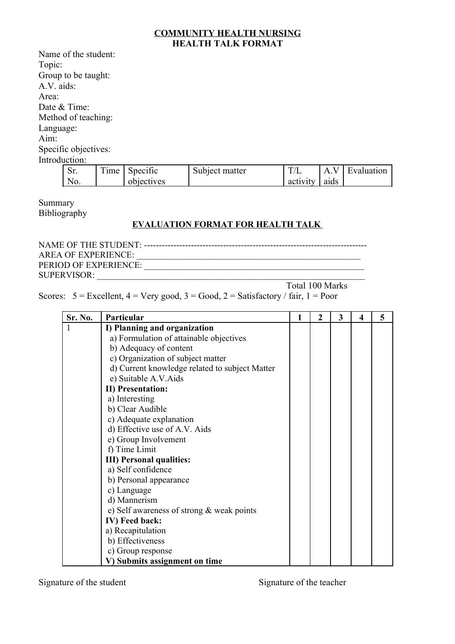#### **COMMUNITY HEALTH NURSING HEALTH TALK FORMAT**

|               | Name of the student: |      |          |                |     |     |            |
|---------------|----------------------|------|----------|----------------|-----|-----|------------|
| Topic:        |                      |      |          |                |     |     |            |
|               | Group to be taught:  |      |          |                |     |     |            |
| A.V. aids:    |                      |      |          |                |     |     |            |
| Area:         |                      |      |          |                |     |     |            |
|               | Date & Time:         |      |          |                |     |     |            |
|               | Method of teaching:  |      |          |                |     |     |            |
| Language:     |                      |      |          |                |     |     |            |
| Aim:          |                      |      |          |                |     |     |            |
|               | Specific objectives: |      |          |                |     |     |            |
| Introduction: |                      |      |          |                |     |     |            |
|               | Sr.                  | Time | Specific | Subject matter | T/L | A.V | Evaluation |

Summary Bibliography

No.

### **EVALUATION FORMAT FOR HEALTH TALK**

| <b>AREA OF EXPERIENCE:</b> |  |
|----------------------------|--|
| PERIOD OF EXPERIENCE:      |  |
| <b>SUPERVISOR:</b>         |  |

Total 100 Marks

activity

aids

Scores:  $5 =$  Excellent,  $4 =$  Very good,  $3 =$  Good,  $2 =$  Satisfactory / fair,  $1 =$  Poor

objectives

| Sr. No. | Particular                                     | 1 | 2 | 3 | $\boldsymbol{4}$ | 5 |
|---------|------------------------------------------------|---|---|---|------------------|---|
| 1       | I) Planning and organization                   |   |   |   |                  |   |
|         | a) Formulation of attainable objectives        |   |   |   |                  |   |
|         | b) Adequacy of content                         |   |   |   |                  |   |
|         | c) Organization of subject matter              |   |   |   |                  |   |
|         | d) Current knowledge related to subject Matter |   |   |   |                  |   |
|         | e) Suitable A.V.Aids                           |   |   |   |                  |   |
|         | <b>II)</b> Presentation:                       |   |   |   |                  |   |
|         | a) Interesting                                 |   |   |   |                  |   |
|         | b) Clear Audible                               |   |   |   |                  |   |
|         | c) Adequate explanation                        |   |   |   |                  |   |
|         | d) Effective use of A.V. Aids                  |   |   |   |                  |   |
|         | e) Group Involvement                           |   |   |   |                  |   |
|         | f) Time Limit                                  |   |   |   |                  |   |
|         | <b>III)</b> Personal qualities:                |   |   |   |                  |   |
|         | a) Self confidence                             |   |   |   |                  |   |
|         | b) Personal appearance                         |   |   |   |                  |   |
|         | c) Language                                    |   |   |   |                  |   |
|         | d) Mannerism                                   |   |   |   |                  |   |
|         | e) Self awareness of strong $&$ weak points    |   |   |   |                  |   |
|         | IV) Feed back:                                 |   |   |   |                  |   |
|         | a) Recapitulation                              |   |   |   |                  |   |
|         | b) Effectiveness                               |   |   |   |                  |   |
|         | c) Group response                              |   |   |   |                  |   |
|         | V) Submits assignment on time                  |   |   |   |                  |   |

Signature of the student Signature of the teacher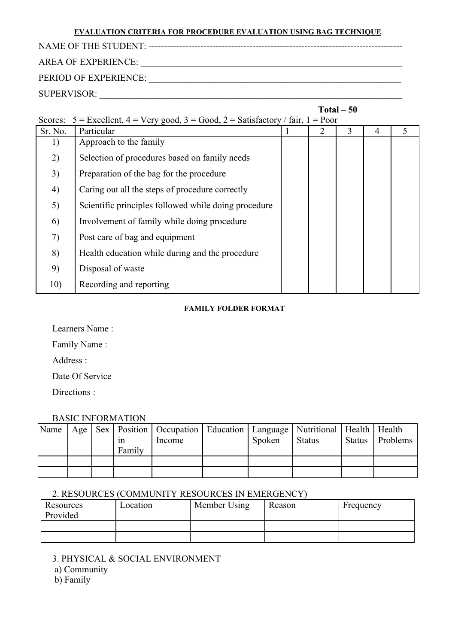#### **EVALUATION CRITERIA FOR PROCEDURE EVALUATION USING BAG TECHNIQUE**

NAME OF THE STUDENT: -----------------------------------------------------------------------------------

# AREA OF EXPERIENCE: \_\_\_\_\_\_\_\_\_\_\_\_\_\_\_\_\_\_\_\_\_\_\_\_\_\_\_\_\_\_\_\_\_\_\_\_\_\_\_\_\_\_\_\_\_\_\_\_\_\_\_\_\_\_\_\_\_

PERIOD OF EXPERIENCE: \_\_\_\_\_\_\_\_\_\_\_\_\_\_\_\_\_\_\_\_\_\_\_\_\_\_\_\_\_\_\_\_\_\_\_\_\_\_\_\_\_\_\_\_\_\_\_\_\_\_\_\_\_\_\_

SUPERVISOR: \_\_\_\_\_\_\_\_\_\_\_\_\_\_\_\_\_\_\_\_\_\_\_\_\_\_\_\_\_\_\_\_\_\_\_\_\_\_\_\_\_\_\_\_\_\_\_\_\_\_\_\_\_\_\_\_\_\_\_\_\_\_\_\_\_\_

|         | $Total - 50$                                                                        |  |   |   |   |   |  |  |  |  |  |  |
|---------|-------------------------------------------------------------------------------------|--|---|---|---|---|--|--|--|--|--|--|
| Scores: | $5 =$ Excellent, $4 =$ Very good, $3 =$ Good, $2 =$ Satisfactory / fair, $1 =$ Poor |  |   |   |   |   |  |  |  |  |  |  |
| Sr. No. | Particular                                                                          |  | 2 | 3 | 4 | 5 |  |  |  |  |  |  |
| 1)      | Approach to the family                                                              |  |   |   |   |   |  |  |  |  |  |  |
| 2)      | Selection of procedures based on family needs                                       |  |   |   |   |   |  |  |  |  |  |  |
| 3)      | Preparation of the bag for the procedure                                            |  |   |   |   |   |  |  |  |  |  |  |
| 4)      | Caring out all the steps of procedure correctly                                     |  |   |   |   |   |  |  |  |  |  |  |
| 5)      | Scientific principles followed while doing procedure                                |  |   |   |   |   |  |  |  |  |  |  |
| 6)      | Involvement of family while doing procedure                                         |  |   |   |   |   |  |  |  |  |  |  |
| 7)      | Post care of bag and equipment                                                      |  |   |   |   |   |  |  |  |  |  |  |
| 8)      | Health education while during and the procedure                                     |  |   |   |   |   |  |  |  |  |  |  |
| 9)      | Disposal of waste                                                                   |  |   |   |   |   |  |  |  |  |  |  |
| 10)     | Recording and reporting                                                             |  |   |   |   |   |  |  |  |  |  |  |

#### **FAMILY FOLDER FORMAT**

Learners Name :

Family Name :

Address :

Date Of Service

Directions :

### BASIC INFORMATION

| Name |  | 1n<br>Family | Age   Sex   Position   Occupation   Education   Language   Nutritional   Health   Health<br>Income | Spoken | <b>Status</b> | Status   Problems |
|------|--|--------------|----------------------------------------------------------------------------------------------------|--------|---------------|-------------------|
|      |  |              |                                                                                                    |        |               |                   |
|      |  |              |                                                                                                    |        |               |                   |

#### 2. RESOURCES (COMMUNITY RESOURCES IN EMERGENCY)

| Resources<br>Provided | Location | Member Using | Reason | Frequency |
|-----------------------|----------|--------------|--------|-----------|
|                       |          |              |        |           |
|                       |          |              |        |           |

3. PHYSICAL & SOCIAL ENVIRONMENT

a) Community

b) Family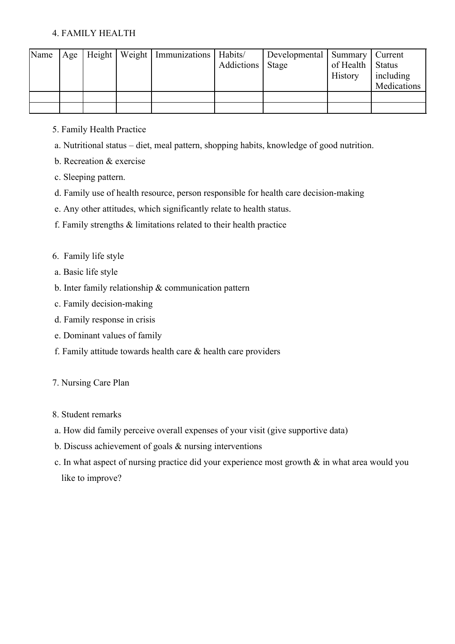#### 4. FAMILY HEALTH

| Name |  | Age   Height   Weight   Immunizations   Habits/ |                    | Developmental   Summary   Current |                    |             |
|------|--|-------------------------------------------------|--------------------|-----------------------------------|--------------------|-------------|
|      |  |                                                 | Addictions   Stage |                                   | of Health   Status |             |
|      |  |                                                 |                    |                                   | History            | including   |
|      |  |                                                 |                    |                                   |                    | Medications |
|      |  |                                                 |                    |                                   |                    |             |
|      |  |                                                 |                    |                                   |                    |             |

- 5. Family Health Practice
- a. Nutritional status diet, meal pattern, shopping habits, knowledge of good nutrition.
- b. Recreation & exercise
- c. Sleeping pattern.
- d. Family use of health resource, person responsible for health care decision-making
- e. Any other attitudes, which significantly relate to health status.
- f. Family strengths & limitations related to their health practice
- 6. Family life style
- a. Basic life style
- b. Inter family relationship & communication pattern
- c. Family decision-making
- d. Family response in crisis
- e. Dominant values of family
- f. Family attitude towards health care  $\&$  health care providers
- 7. Nursing Care Plan
- 8. Student remarks
- a. How did family perceive overall expenses of your visit (give supportive data)
- b. Discuss achievement of goals & nursing interventions
- c. In what aspect of nursing practice did your experience most growth & in what area would you like to improve?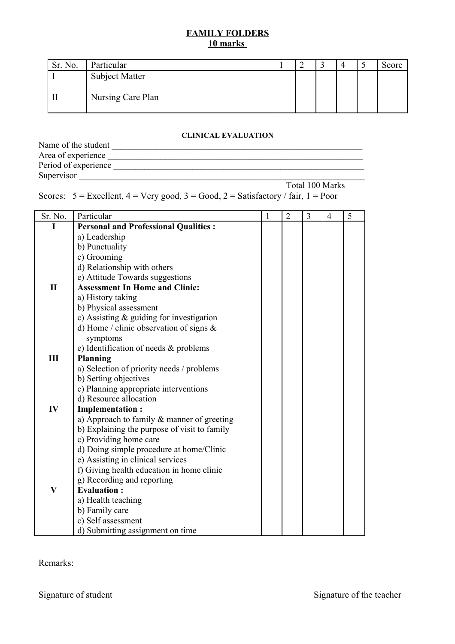#### **FAMILY FOLDERS 10 marks**

| Sr. No. | Particular            |  |  | <br>Score |
|---------|-----------------------|--|--|-----------|
|         | <b>Subject Matter</b> |  |  |           |
|         | Nursing Care Plan     |  |  |           |

#### **CLINICAL EVALUATION**

| Name of the student  |                 |
|----------------------|-----------------|
| Area of experience   |                 |
| Period of experience |                 |
| Supervisor           |                 |
|                      | Total 100 Marks |

Scores:  $5 =$  Excellent,  $4 =$  Very good,  $3 =$  Good,  $2 =$  Satisfactory / fair,  $1 =$  Poor

| Sr. No.      | Particular                                   | 1 | $\overline{2}$ | 3 | $\overline{4}$ | 5 |  |  |
|--------------|----------------------------------------------|---|----------------|---|----------------|---|--|--|
| I            | <b>Personal and Professional Qualities:</b>  |   |                |   |                |   |  |  |
|              | a) Leadership                                |   |                |   |                |   |  |  |
|              | b) Punctuality                               |   |                |   |                |   |  |  |
|              | c) Grooming                                  |   |                |   |                |   |  |  |
|              | d) Relationship with others                  |   |                |   |                |   |  |  |
|              | e) Attitude Towards suggestions              |   |                |   |                |   |  |  |
| $\mathbf{I}$ | <b>Assessment In Home and Clinic:</b>        |   |                |   |                |   |  |  |
|              | a) History taking                            |   |                |   |                |   |  |  |
|              | b) Physical assessment                       |   |                |   |                |   |  |  |
|              | c) Assisting $&$ guiding for investigation   |   |                |   |                |   |  |  |
|              | d) Home / clinic observation of signs $\&$   |   |                |   |                |   |  |  |
|              | symptoms                                     |   |                |   |                |   |  |  |
|              | e) Identification of needs & problems        |   |                |   |                |   |  |  |
| Ш            | <b>Planning</b>                              |   |                |   |                |   |  |  |
|              | a) Selection of priority needs / problems    |   |                |   |                |   |  |  |
|              | b) Setting objectives                        |   |                |   |                |   |  |  |
|              | c) Planning appropriate interventions        |   |                |   |                |   |  |  |
|              | d) Resource allocation                       |   |                |   |                |   |  |  |
| IV           | <b>Implementation:</b>                       |   |                |   |                |   |  |  |
|              | a) Approach to family & manner of greeting   |   |                |   |                |   |  |  |
|              | b) Explaining the purpose of visit to family |   |                |   |                |   |  |  |
|              | c) Providing home care                       |   |                |   |                |   |  |  |
|              | d) Doing simple procedure at home/Clinic     |   |                |   |                |   |  |  |
|              | e) Assisting in clinical services            |   |                |   |                |   |  |  |
|              | f) Giving health education in home clinic    |   |                |   |                |   |  |  |
|              | g) Recording and reporting                   |   |                |   |                |   |  |  |
| $\mathbf{V}$ | <b>Evaluation:</b>                           |   |                |   |                |   |  |  |
|              | a) Health teaching                           |   |                |   |                |   |  |  |
|              | b) Family care                               |   |                |   |                |   |  |  |
|              | c) Self assessment                           |   |                |   |                |   |  |  |
|              | d) Submitting assignment on time             |   |                |   |                |   |  |  |

Remarks: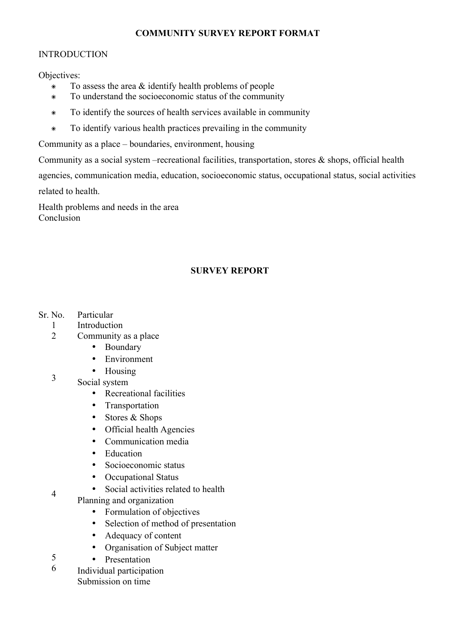#### **COMMUNITY SURVEY REPORT FORMAT**

#### INTRODUCTION

Objectives:

- To assess the area & identify health problems of people
- To understand the socioeconomic status of the community
- To identify the sources of health services available in community
- To identify various health practices prevailing in the community

Community as a place – boundaries, environment, housing

Community as a social system –recreational facilities, transportation, stores & shops, official health agencies, communication media, education, socioeconomic status, occupational status, social activities related to health.

Health problems and needs in the area Conclusion

#### **SURVEY REPORT**

- Sr. No. Particular
	- 1 Introduction
	- $\mathfrak{D}$ Community as a place
		- Boundary
		- Environment
		- Housing
	- 3 Social system

4

5

- Recreational facilities
- Transportation
- Stores & Shops
- Official health Agencies
- Communication media
- Education
- Socioeconomic status
- Occupational Status
- Social activities related to health
- Planning and organization
	- Formulation of objectives
	- Selection of method of presentation
	- Adequacy of content
	- Organisation of Subject matter
	- Presentation
- 6 Individual participation Submission on time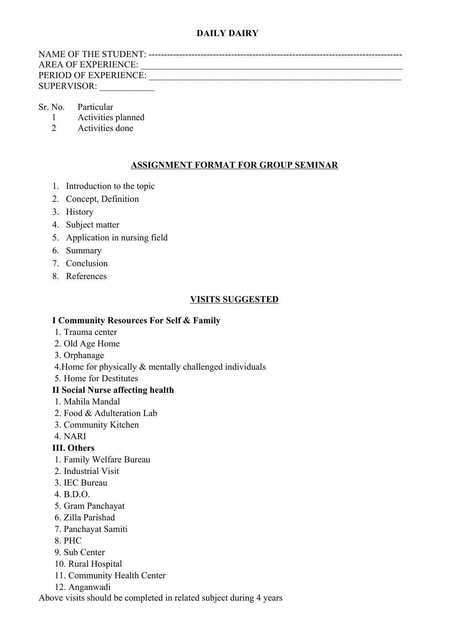### **DAILY DAIRY**

NAME OF THE STUDENT: ----------------------------------------------------------------------------------- AREA OF EXPERIENCE: \_\_\_\_\_\_\_\_\_\_\_\_\_\_\_\_\_\_\_\_\_\_\_\_\_\_\_\_\_\_\_\_\_\_\_\_\_\_\_\_\_\_\_\_\_\_\_\_\_\_\_\_\_\_\_\_\_ PERIOD OF EXPERIENCE: SUPERVISOR:

#### Sr. No. Particular

- 1 Activities planned
- 2 Activities done

#### **ASSIGNMENT FORMAT FOR GROUP SEMINAR**

- 1. Introduction to the topic
- 2. Concept, Definition
- 3. History
- 4. Subject matter
- 5. Application in nursing field
- 6. Summary
- 7. Conclusion
- 8. References

#### **VISITS SUGGESTED**

#### **I Community Resources For Self & Family**

- 1. Trauma center
- 2. Old Age Home
- 3. Orphanage
- 4.Home for physically & mentally challenged individuals
- 5. Home for Destitutes

#### **II Social Nurse affecting health**

- 1. Mahila Mandal
- 2. Food & Adulteration Lab
- 3. Community Kitchen
- 4. NARI

#### **III. Others**

- 1. Family Welfare Bureau
- 2. Industrial Visit
- 3. IEC Bureau
- $4$  BDO.
- 5. Gram Panchayat
- 6. Zilla Parishad
- 7. Panchayat Samiti
- 8. PHC
- 9. Sub Center
- 10. Rural Hospital
- 11. Community Health Center
- 12. Anganwadi

Above visits should be completed in related subject during 4 years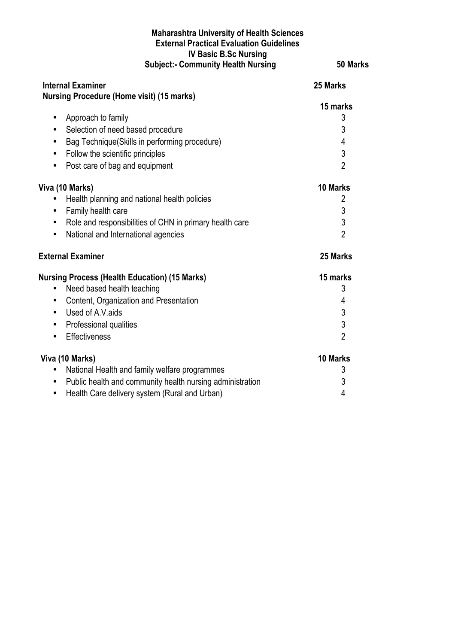#### **Maharashtra University of Health Sciences External Practical Evaluation Guidelines IV Basic B.Sc Nursing Subject:- Community Health Nursing 50 Marks**

**Internal Examiner 25 Marks Nursing Procedure (Home visit) (15 marks) 15 marks** • Approach to family 3 • Selection of need based procedure 3 • Bag Technique(Skills in performing procedure) 4 • Follow the scientific principles 3 • Post care of bag and equipment 2 **Viva (10 Marks) 10 Marks** • Health planning and national health policies 2 • Family health care 3 • Role and responsibilities of CHN in primary health care 3 • National and International agencies 2 **External Examiner 25 Marks Nursing Process (Health Education) (15 Marks) 15 marks** • Need based health teaching 3 • Content, Organization and Presentation 4 • Used of A.V.aids 3 • Professional qualities 3 • Effectiveness 2 **Viva (10 Marks) 10 Marks** • National Health and family welfare programmes 3 • Public health and community health nursing administration 3 • Health Care delivery system (Rural and Urban) 4